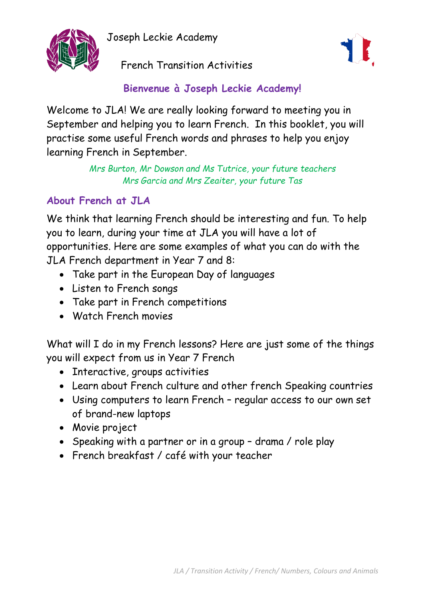Joseph Leckie Academy



French Transition Activities



**Bienvenue à Joseph Leckie Academy!**

Welcome to JLA! We are really looking forward to meeting you in September and helping you to learn French. In this booklet, you will practise some useful French words and phrases to help you enjoy learning French in September.

> *Mrs Burton, Mr Dowson and Ms Tutrice, your future teachers Mrs Garcia and Mrs Zeaiter, your future Tas*

# **About French at JLA**

We think that learning French should be interesting and fun. To help you to learn, during your time at JLA you will have a lot of opportunities. Here are some examples of what you can do with the JLA French department in Year 7 and 8:

- Take part in the European Day of languages
- Listen to French songs
- Take part in French competitions
- Watch French movies

What will I do in my French lessons? Here are just some of the things you will expect from us in Year 7 French

- Interactive, groups activities
- Learn about French culture and other french Speaking countries
- Using computers to learn French regular access to our own set of brand-new laptops
- Movie project
- Speaking with a partner or in a group drama / role play
- French breakfast / café with your teacher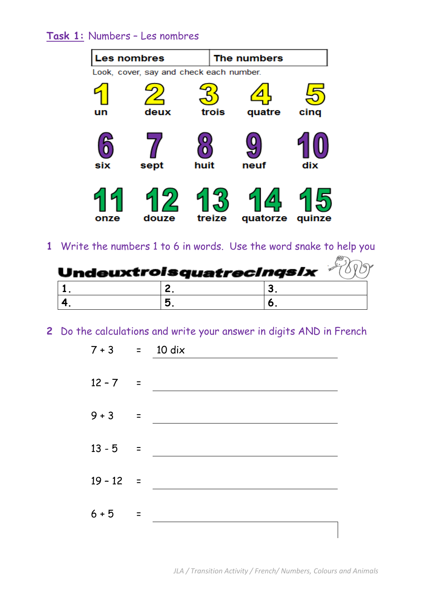## **Task 1:** Numbers – Les nombres

| <b>Les nombres</b>                      |       |        | The numbers |        |  |
|-----------------------------------------|-------|--------|-------------|--------|--|
| Look, cover, say and check each number. |       |        |             |        |  |
|                                         |       |        |             |        |  |
| un                                      | deux  | trois  | quatre      | cinq   |  |
|                                         |       |        |             |        |  |
| six                                     | sept  | huit   | neuf        | dix    |  |
| onze                                    | douze | treize | quatorze    | quinze |  |

**1** Write the numbers 1 to 6 in words. Use the word snake to help you

| Undeuxtroisquatrecingsl $x$ |  |  |
|-----------------------------|--|--|
|                             |  |  |
|                             |  |  |

**2** Do the calculations and write your answer in digits AND in French

| $7 + 3 = 10 \text{ dix}$ |                   |  |
|--------------------------|-------------------|--|
| $12 - 7 =$               |                   |  |
| $9 + 3$                  | $\equiv$ $\equiv$ |  |
| $13 - 5 =$               |                   |  |
| $19 - 12 =$              |                   |  |
| $6 + 5$                  | $\equiv$          |  |
|                          |                   |  |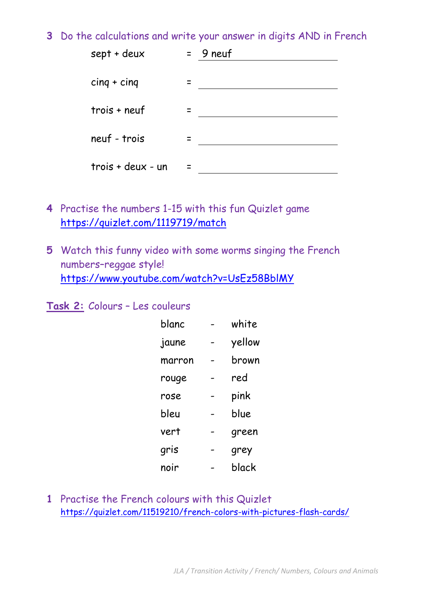**3** Do the calculations and write your answer in digits AND in French

| sept + deux       | $= 9$ neuf |
|-------------------|------------|
| $cing + cinq$     |            |
| $tros + neu f$    |            |
| neuf - trois      |            |
| trois + deux - un |            |

- **4** Practise the numbers 1-15 with this fun Quizlet game <https://quizlet.com/1119719/match>
- **5** Watch this funny video with some worms singing the French numbers–reggae style! <https://www.youtube.com/watch?v=UsEz58BblMY>

#### **Task 2:** Colours – Les couleurs

| blanc  | white  |
|--------|--------|
| jaune  | yellow |
| marron | brown  |
| rouge  | red    |
| rose   | pink   |
| bleu   | blue   |
| vert   | green  |
| gris   | grey   |
| noir   | black  |

**1** Practise the French colours with this Quizlet <https://quizlet.com/11519210/french-colors-with-pictures-flash-cards/>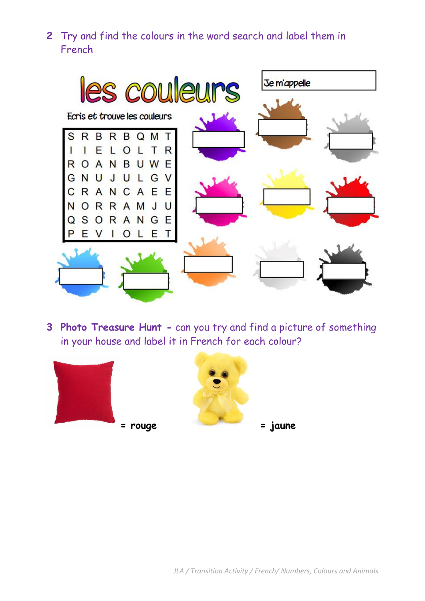**2** Try and find the colours in the word search and label them in French



**3 Photo Treasure Hunt -** can you try and find a picture of something in your house and label it in French for each colour?

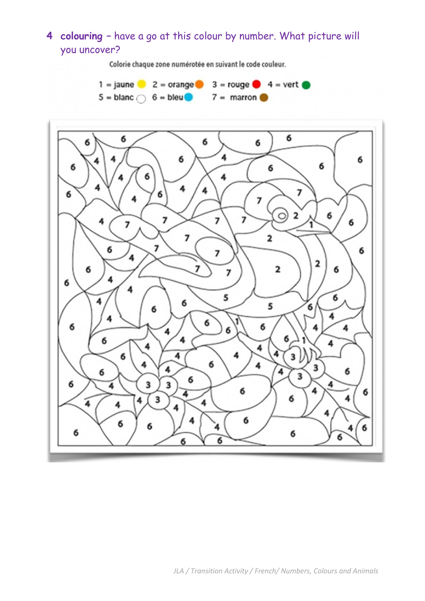# **4 colouring –** have a go at this colour by number. What picture will you uncover?

Colorie chaque zone numérotée en suivant le code couleur.



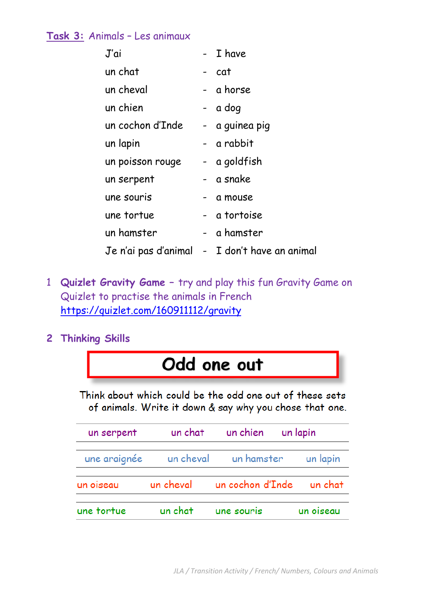## **Task 3:** Animals – Les animaux

| J'ai             | - I have                                      |
|------------------|-----------------------------------------------|
| un chat          | - cat                                         |
| un cheval        | - a horse                                     |
| un chien         | - a dog                                       |
| un cochon d'Inde | - a guinea pig                                |
| un lapin         | - a rabbit                                    |
| un poisson rouge | - a goldfish                                  |
| un serpent       | - a snake                                     |
| une souris       | - a mouse                                     |
| une tortue       | - a tortoise                                  |
| un hamster       | - a hamster                                   |
|                  | Je n'ai pas d'animal - I don't have an animal |

- 1 **Quizlet Gravity Game –** try and play this fun Gravity Game on Quizlet to practise the animals in French <https://quizlet.com/160911112/gravity>
- **2 Thinking Skills**



Think about which could be the odd one out of these sets of animals. Write it down & say why you chose that one.

| un serpent |                    | un chat un chien un lapin                    |           |
|------------|--------------------|----------------------------------------------|-----------|
|            |                    | une araignée un cheval un hamster un lapin   |           |
|            |                    | un oiseau un cheval un cochon d'Inde un chat |           |
| une tortue | un chat une souris |                                              | un oiseau |